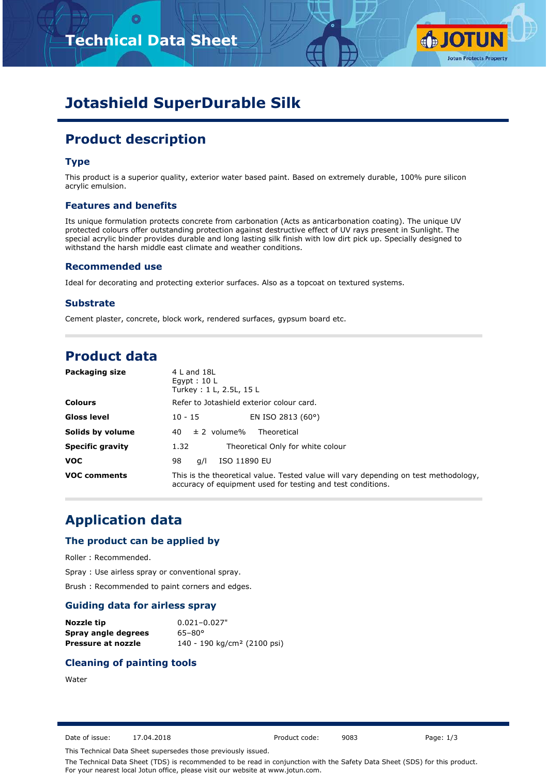



# **Jotashield SuperDurable Silk**

# **Product description**

## **Type**

This product is a superior quality, exterior water based paint. Based on extremely durable, 100% pure silicon acrylic emulsion.

#### **Features and benefits**

Its unique formulation protects concrete from carbonation (Acts as anticarbonation coating). The unique UV protected colours offer outstanding protection against destructive effect of UV rays present in Sunlight. The special acrylic binder provides durable and long lasting silk finish with low dirt pick up. Specially designed to withstand the harsh middle east climate and weather conditions.

#### **Recommended use**

Ideal for decorating and protecting exterior surfaces. Also as a topcoat on textured systems.

#### **Substrate**

Cement plaster, concrete, block work, rendered surfaces, gypsum board etc.

# **Product data**

| Packaging size          | $4$ L and $18$ L<br>Egypt: $10 L$<br>Turkey: 1 L, 2.5L, 15 L                                                                                        |
|-------------------------|-----------------------------------------------------------------------------------------------------------------------------------------------------|
| <b>Colours</b>          | Refer to Jotashield exterior colour card.                                                                                                           |
| Gloss level             | EN ISO 2813 (60°)<br>$10 - 15$                                                                                                                      |
| Solids by volume        | $\pm$ 2 volume%<br>Theoretical<br>40.                                                                                                               |
| <b>Specific gravity</b> | Theoretical Only for white colour<br>1.32                                                                                                           |
| <b>VOC</b>              | ISO 11890 EU<br>98<br>a/l                                                                                                                           |
| <b>VOC comments</b>     | This is the theoretical value. Tested value will vary depending on test methodology,<br>accuracy of equipment used for testing and test conditions. |

# **Application data**

### **The product can be applied by**

Roller : Recommended.

Spray : Use airless spray or conventional spray.

Brush : Recommended to paint corners and edges.

#### **Guiding data for airless spray**

| Nozzle tip          | $0.021 - 0.027$ "                       |
|---------------------|-----------------------------------------|
| Spray angle degrees | $65 - 80^{\circ}$                       |
| Pressure at nozzle  | 140 - 190 kg/cm <sup>2</sup> (2100 psi) |

### **Cleaning of painting tools**

### Water

Date of issue: 17.04.2018 Product code: 9083 Page: 1/3

This Technical Data Sheet supersedes those previously issued.

The Technical Data Sheet (TDS) is recommended to be read in conjunction with the Safety Data Sheet (SDS) for this product. For your nearest local Jotun office, please visit our website at www.jotun.com.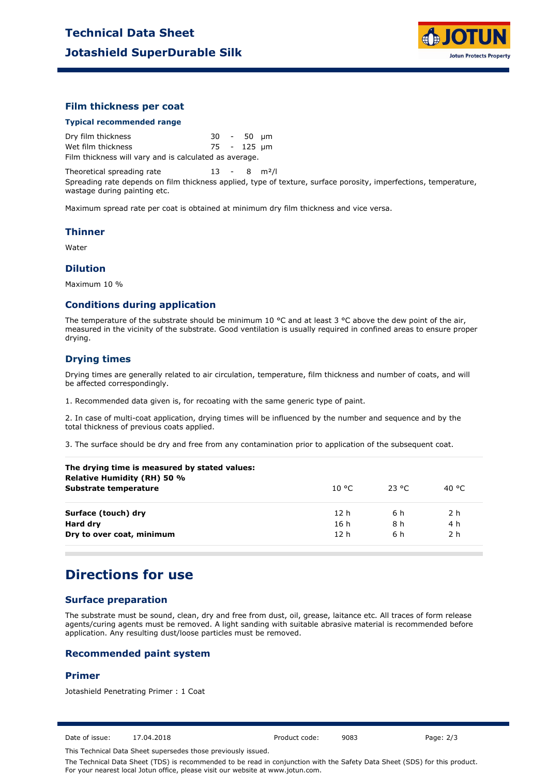

### **Film thickness per coat**

#### **Typical recommended range**

Dry film thickness 30 - 50 µm Wet film thickness 75 - 125 µm Film thickness will vary and is calculated as average.

Theoretical spreading rate  $13 - 8$  m<sup>2</sup>/l

Spreading rate depends on film thickness applied, type of texture, surface porosity, imperfections, temperature, wastage during painting etc.

Maximum spread rate per coat is obtained at minimum dry film thickness and vice versa.

#### **Thinner**

Water

#### **Dilution**

Maximum 10 %

#### **Conditions during application**

The temperature of the substrate should be minimum 10 °C and at least 3 °C above the dew point of the air, measured in the vicinity of the substrate. Good ventilation is usually required in confined areas to ensure proper drying.

### **Drying times**

Drying times are generally related to air circulation, temperature, film thickness and number of coats, and will be affected correspondingly.

1. Recommended data given is, for recoating with the same generic type of paint.

2. In case of multi-coat application, drying times will be influenced by the number and sequence and by the total thickness of previous coats applied.

3. The surface should be dry and free from any contamination prior to application of the subsequent coat.

| The drying time is measured by stated values:<br>Relative Humidity (RH) 50 % |                 |        |       |
|------------------------------------------------------------------------------|-----------------|--------|-------|
| Substrate temperature                                                        | 10 °C.          | -23 °C | 40 °C |
| Surface (touch) dry                                                          | 12 <sub>h</sub> | 6 h    | 2 h   |
| Hard dry                                                                     | 16 h            | 8 h    | 4 h   |
| Dry to over coat, minimum                                                    | 12 <sub>h</sub> | 6 h    | 2 h   |
|                                                                              |                 |        |       |

# **Directions for use**

## **Surface preparation**

The substrate must be sound, clean, dry and free from dust, oil, grease, laitance etc. All traces of form release agents/curing agents must be removed. A light sanding with suitable abrasive material is recommended before application. Any resulting dust/loose particles must be removed.

#### **Recommended paint system**

#### **Primer**

Jotashield Penetrating Primer : 1 Coat

Date of issue: 17.04.2018 Product code: 9083 Page: 2/3

This Technical Data Sheet supersedes those previously issued.

The Technical Data Sheet (TDS) is recommended to be read in conjunction with the Safety Data Sheet (SDS) for this product. For your nearest local Jotun office, please visit our website at www.jotun.com.